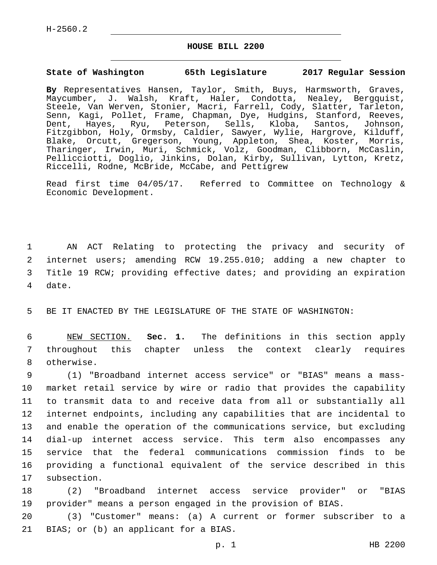## **HOUSE BILL 2200**

## **State of Washington 65th Legislature 2017 Regular Session**

**By** Representatives Hansen, Taylor, Smith, Buys, Harmsworth, Graves, Maycumber, J. Walsh, Kraft, Haler, Condotta, Nealey, Bergquist, Steele, Van Werven, Stonier, Macri, Farrell, Cody, Slatter, Tarleton, Senn, Kagi, Pollet, Frame, Chapman, Dye, Hudgins, Stanford, Reeves, Dent, Hayes, Ryu, Peterson, Sells, Kloba, Santos, Johnson, Fitzgibbon, Holy, Ormsby, Caldier, Sawyer, Wylie, Hargrove, Kilduff, Blake, Orcutt, Gregerson, Young, Appleton, Shea, Koster, Morris, Tharinger, Irwin, Muri, Schmick, Volz, Goodman, Clibborn, McCaslin, Pellicciotti, Doglio, Jinkins, Dolan, Kirby, Sullivan, Lytton, Kretz, Riccelli, Rodne, McBride, McCabe, and Pettigrew

Read first time 04/05/17. Referred to Committee on Technology & Economic Development.

 AN ACT Relating to protecting the privacy and security of internet users; amending RCW 19.255.010; adding a new chapter to Title 19 RCW; providing effective dates; and providing an expiration 4 date.

5 BE IT ENACTED BY THE LEGISLATURE OF THE STATE OF WASHINGTON:

6 NEW SECTION. **Sec. 1.** The definitions in this section apply 7 throughout this chapter unless the context clearly requires 8 otherwise.

 (1) "Broadband internet access service" or "BIAS" means a mass- market retail service by wire or radio that provides the capability to transmit data to and receive data from all or substantially all internet endpoints, including any capabilities that are incidental to and enable the operation of the communications service, but excluding dial-up internet access service. This term also encompasses any service that the federal communications commission finds to be providing a functional equivalent of the service described in this 17 subsection.

18 (2) "Broadband internet access service provider" or "BIAS 19 provider" means a person engaged in the provision of BIAS.

20 (3) "Customer" means: (a) A current or former subscriber to a 21 BIAS; or (b) an applicant for a BIAS.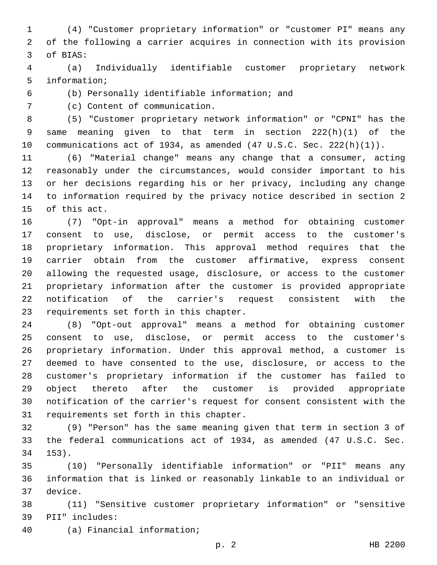(4) "Customer proprietary information" or "customer PI" means any of the following a carrier acquires in connection with its provision 3 of BIAS:

 (a) Individually identifiable customer proprietary network 5 information;

(b) Personally identifiable information; and6

7 (c) Content of communication.

 (5) "Customer proprietary network information" or "CPNI" has the same meaning given to that term in section 222(h)(1) of the communications act of 1934, as amended (47 U.S.C. Sec. 222(h)(1)).

 (6) "Material change" means any change that a consumer, acting reasonably under the circumstances, would consider important to his or her decisions regarding his or her privacy, including any change to information required by the privacy notice described in section 2 15 of this act.

 (7) "Opt-in approval" means a method for obtaining customer consent to use, disclose, or permit access to the customer's proprietary information. This approval method requires that the carrier obtain from the customer affirmative, express consent allowing the requested usage, disclosure, or access to the customer proprietary information after the customer is provided appropriate notification of the carrier's request consistent with the 23 requirements set forth in this chapter.

 (8) "Opt-out approval" means a method for obtaining customer consent to use, disclose, or permit access to the customer's proprietary information. Under this approval method, a customer is deemed to have consented to the use, disclosure, or access to the customer's proprietary information if the customer has failed to object thereto after the customer is provided appropriate notification of the carrier's request for consent consistent with the 31 requirements set forth in this chapter.

 (9) "Person" has the same meaning given that term in section 3 of the federal communications act of 1934, as amended (47 U.S.C. Sec. 153).34

 (10) "Personally identifiable information" or "PII" means any information that is linked or reasonably linkable to an individual or 37 device.

 (11) "Sensitive customer proprietary information" or "sensitive 39 PII" includes:

(a) Financial information;40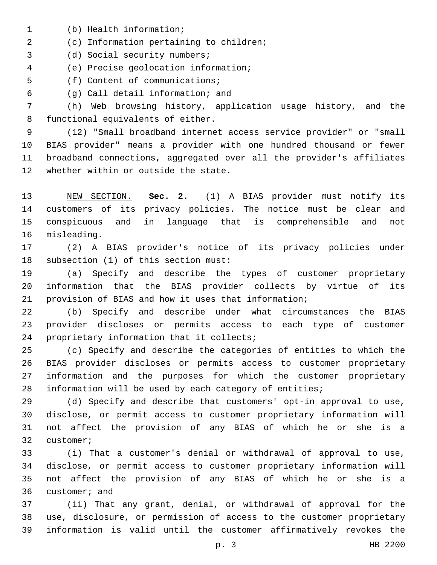- 1 (b) Health information;
- (c) Information pertaining to children;2
- 3 (d) Social security numbers;

(e) Precise geolocation information;4

5 (f) Content of communications;

(g) Call detail information; and6

 (h) Web browsing history, application usage history, and the 8 functional equivalents of either.

 (12) "Small broadband internet access service provider" or "small BIAS provider" means a provider with one hundred thousand or fewer broadband connections, aggregated over all the provider's affiliates 12 whether within or outside the state.

 NEW SECTION. **Sec. 2.** (1) A BIAS provider must notify its customers of its privacy policies. The notice must be clear and conspicuous and in language that is comprehensible and not misleading.

 (2) A BIAS provider's notice of its privacy policies under 18 subsection (1) of this section must:

 (a) Specify and describe the types of customer proprietary information that the BIAS provider collects by virtue of its provision of BIAS and how it uses that information;

 (b) Specify and describe under what circumstances the BIAS provider discloses or permits access to each type of customer 24 proprietary information that it collects;

 (c) Specify and describe the categories of entities to which the BIAS provider discloses or permits access to customer proprietary information and the purposes for which the customer proprietary information will be used by each category of entities;

 (d) Specify and describe that customers' opt-in approval to use, disclose, or permit access to customer proprietary information will not affect the provision of any BIAS of which he or she is a 32 customer;

 (i) That a customer's denial or withdrawal of approval to use, disclose, or permit access to customer proprietary information will not affect the provision of any BIAS of which he or she is a 36 customer; and

 (ii) That any grant, denial, or withdrawal of approval for the use, disclosure, or permission of access to the customer proprietary information is valid until the customer affirmatively revokes the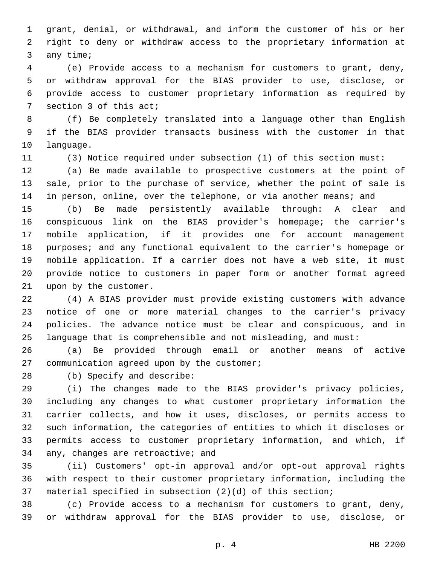grant, denial, or withdrawal, and inform the customer of his or her right to deny or withdraw access to the proprietary information at 3 any time;

 (e) Provide access to a mechanism for customers to grant, deny, or withdraw approval for the BIAS provider to use, disclose, or provide access to customer proprietary information as required by 7 section 3 of this act;

 (f) Be completely translated into a language other than English if the BIAS provider transacts business with the customer in that 10 language.

(3) Notice required under subsection (1) of this section must:

 (a) Be made available to prospective customers at the point of sale, prior to the purchase of service, whether the point of sale is 14 in person, online, over the telephone, or via another means; and

 (b) Be made persistently available through: A clear and conspicuous link on the BIAS provider's homepage; the carrier's mobile application, if it provides one for account management purposes; and any functional equivalent to the carrier's homepage or mobile application. If a carrier does not have a web site, it must provide notice to customers in paper form or another format agreed 21 upon by the customer.

 (4) A BIAS provider must provide existing customers with advance notice of one or more material changes to the carrier's privacy policies. The advance notice must be clear and conspicuous, and in language that is comprehensible and not misleading, and must:

 (a) Be provided through email or another means of active 27 communication agreed upon by the customer;

28 (b) Specify and describe:

 (i) The changes made to the BIAS provider's privacy policies, including any changes to what customer proprietary information the carrier collects, and how it uses, discloses, or permits access to such information, the categories of entities to which it discloses or permits access to customer proprietary information, and which, if 34 any, changes are retroactive; and

 (ii) Customers' opt-in approval and/or opt-out approval rights with respect to their customer proprietary information, including the material specified in subsection (2)(d) of this section;

 (c) Provide access to a mechanism for customers to grant, deny, or withdraw approval for the BIAS provider to use, disclose, or

p. 4 HB 2200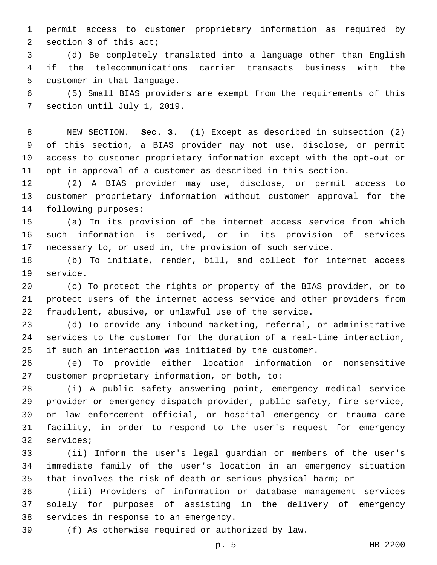permit access to customer proprietary information as required by 2 section 3 of this act;

 (d) Be completely translated into a language other than English if the telecommunications carrier transacts business with the 5 customer in that language.

 (5) Small BIAS providers are exempt from the requirements of this 7 section until July 1, 2019.

 NEW SECTION. **Sec. 3.** (1) Except as described in subsection (2) of this section, a BIAS provider may not use, disclose, or permit access to customer proprietary information except with the opt-out or opt-in approval of a customer as described in this section.

 (2) A BIAS provider may use, disclose, or permit access to customer proprietary information without customer approval for the 14 following purposes:

 (a) In its provision of the internet access service from which such information is derived, or in its provision of services necessary to, or used in, the provision of such service.

 (b) To initiate, render, bill, and collect for internet access 19 service.

 (c) To protect the rights or property of the BIAS provider, or to protect users of the internet access service and other providers from fraudulent, abusive, or unlawful use of the service.

 (d) To provide any inbound marketing, referral, or administrative services to the customer for the duration of a real-time interaction, if such an interaction was initiated by the customer.

 (e) To provide either location information or nonsensitive 27 customer proprietary information, or both, to:

 (i) A public safety answering point, emergency medical service provider or emergency dispatch provider, public safety, fire service, or law enforcement official, or hospital emergency or trauma care facility, in order to respond to the user's request for emergency 32 services;

 (ii) Inform the user's legal guardian or members of the user's immediate family of the user's location in an emergency situation that involves the risk of death or serious physical harm; or

 (iii) Providers of information or database management services solely for purposes of assisting in the delivery of emergency 38 services in response to an emergency.

(f) As otherwise required or authorized by law.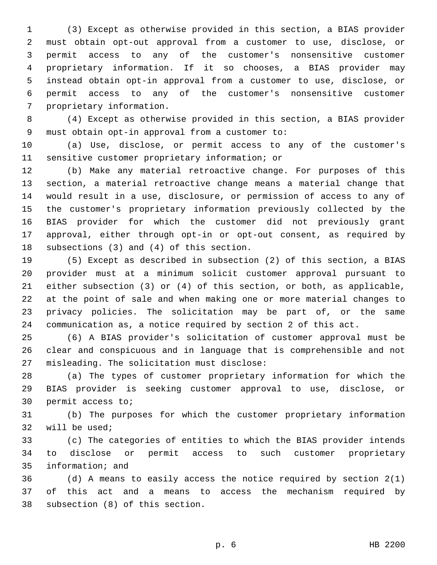(3) Except as otherwise provided in this section, a BIAS provider must obtain opt-out approval from a customer to use, disclose, or permit access to any of the customer's nonsensitive customer proprietary information. If it so chooses, a BIAS provider may instead obtain opt-in approval from a customer to use, disclose, or permit access to any of the customer's nonsensitive customer 7 proprietary information.

 (4) Except as otherwise provided in this section, a BIAS provider 9 must obtain opt-in approval from a customer to:

 (a) Use, disclose, or permit access to any of the customer's 11 sensitive customer proprietary information; or

 (b) Make any material retroactive change. For purposes of this section, a material retroactive change means a material change that would result in a use, disclosure, or permission of access to any of the customer's proprietary information previously collected by the BIAS provider for which the customer did not previously grant approval, either through opt-in or opt-out consent, as required by 18 subsections  $(3)$  and  $(4)$  of this section.

 (5) Except as described in subsection (2) of this section, a BIAS provider must at a minimum solicit customer approval pursuant to either subsection (3) or (4) of this section, or both, as applicable, at the point of sale and when making one or more material changes to privacy policies. The solicitation may be part of, or the same communication as, a notice required by section 2 of this act.

 (6) A BIAS provider's solicitation of customer approval must be clear and conspicuous and in language that is comprehensible and not 27 misleading. The solicitation must disclose:

 (a) The types of customer proprietary information for which the BIAS provider is seeking customer approval to use, disclose, or 30 permit access to;

 (b) The purposes for which the customer proprietary information 32 will be used;

 (c) The categories of entities to which the BIAS provider intends to disclose or permit access to such customer proprietary 35 information; and

 (d) A means to easily access the notice required by section 2(1) of this act and a means to access the mechanism required by 38 subsection (8) of this section.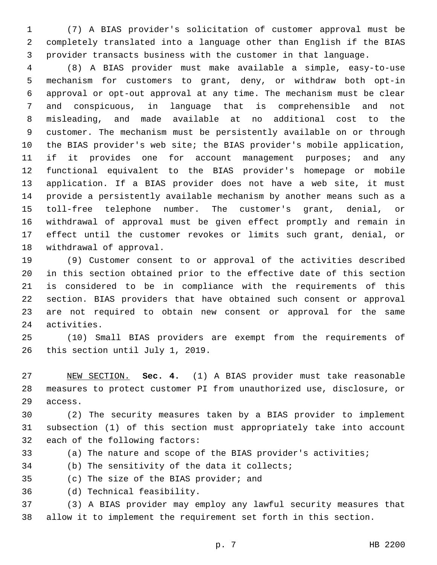(7) A BIAS provider's solicitation of customer approval must be completely translated into a language other than English if the BIAS provider transacts business with the customer in that language.

 (8) A BIAS provider must make available a simple, easy-to-use mechanism for customers to grant, deny, or withdraw both opt-in approval or opt-out approval at any time. The mechanism must be clear and conspicuous, in language that is comprehensible and not misleading, and made available at no additional cost to the customer. The mechanism must be persistently available on or through the BIAS provider's web site; the BIAS provider's mobile application, 11 if it provides one for account management purposes; and any functional equivalent to the BIAS provider's homepage or mobile application. If a BIAS provider does not have a web site, it must provide a persistently available mechanism by another means such as a toll-free telephone number. The customer's grant, denial, or withdrawal of approval must be given effect promptly and remain in effect until the customer revokes or limits such grant, denial, or 18 withdrawal of approval.

 (9) Customer consent to or approval of the activities described in this section obtained prior to the effective date of this section is considered to be in compliance with the requirements of this section. BIAS providers that have obtained such consent or approval are not required to obtain new consent or approval for the same 24 activities.

 (10) Small BIAS providers are exempt from the requirements of 26 this section until July 1, 2019.

 NEW SECTION. **Sec. 4.** (1) A BIAS provider must take reasonable measures to protect customer PI from unauthorized use, disclosure, or access.

 (2) The security measures taken by a BIAS provider to implement subsection (1) of this section must appropriately take into account 32 each of the following factors:

(a) The nature and scope of the BIAS provider's activities;

(b) The sensitivity of the data it collects;

35 (c) The size of the BIAS provider; and

(d) Technical feasibility.36

 (3) A BIAS provider may employ any lawful security measures that allow it to implement the requirement set forth in this section.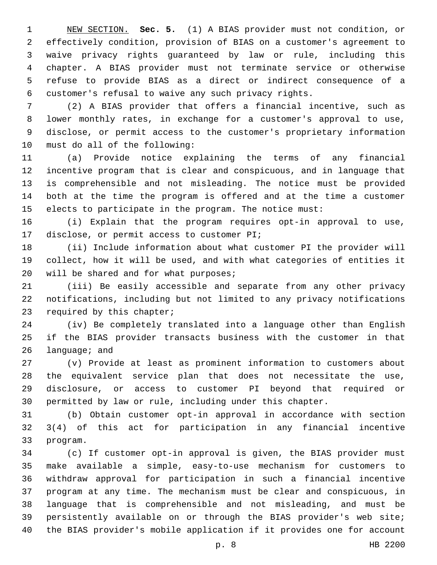NEW SECTION. **Sec. 5.** (1) A BIAS provider must not condition, or effectively condition, provision of BIAS on a customer's agreement to waive privacy rights guaranteed by law or rule, including this chapter. A BIAS provider must not terminate service or otherwise refuse to provide BIAS as a direct or indirect consequence of a customer's refusal to waive any such privacy rights.

 (2) A BIAS provider that offers a financial incentive, such as lower monthly rates, in exchange for a customer's approval to use, disclose, or permit access to the customer's proprietary information 10 must do all of the following:

 (a) Provide notice explaining the terms of any financial incentive program that is clear and conspicuous, and in language that is comprehensible and not misleading. The notice must be provided both at the time the program is offered and at the time a customer elects to participate in the program. The notice must:

 (i) Explain that the program requires opt-in approval to use, 17 disclose, or permit access to customer PI;

 (ii) Include information about what customer PI the provider will collect, how it will be used, and with what categories of entities it 20 will be shared and for what purposes;

 (iii) Be easily accessible and separate from any other privacy notifications, including but not limited to any privacy notifications 23 required by this chapter;

 (iv) Be completely translated into a language other than English if the BIAS provider transacts business with the customer in that language; and

 (v) Provide at least as prominent information to customers about the equivalent service plan that does not necessitate the use, disclosure, or access to customer PI beyond that required or permitted by law or rule, including under this chapter.

 (b) Obtain customer opt-in approval in accordance with section 3(4) of this act for participation in any financial incentive 33 program.

 (c) If customer opt-in approval is given, the BIAS provider must make available a simple, easy-to-use mechanism for customers to withdraw approval for participation in such a financial incentive program at any time. The mechanism must be clear and conspicuous, in language that is comprehensible and not misleading, and must be persistently available on or through the BIAS provider's web site; the BIAS provider's mobile application if it provides one for account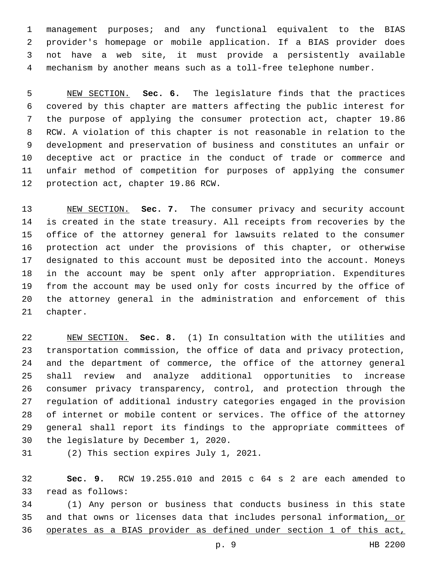management purposes; and any functional equivalent to the BIAS provider's homepage or mobile application. If a BIAS provider does not have a web site, it must provide a persistently available mechanism by another means such as a toll-free telephone number.

 NEW SECTION. **Sec. 6.** The legislature finds that the practices covered by this chapter are matters affecting the public interest for the purpose of applying the consumer protection act, chapter 19.86 RCW. A violation of this chapter is not reasonable in relation to the development and preservation of business and constitutes an unfair or deceptive act or practice in the conduct of trade or commerce and unfair method of competition for purposes of applying the consumer protection act, chapter 19.86 RCW.

 NEW SECTION. **Sec. 7.** The consumer privacy and security account is created in the state treasury. All receipts from recoveries by the office of the attorney general for lawsuits related to the consumer protection act under the provisions of this chapter, or otherwise designated to this account must be deposited into the account. Moneys in the account may be spent only after appropriation. Expenditures from the account may be used only for costs incurred by the office of the attorney general in the administration and enforcement of this chapter.

 NEW SECTION. **Sec. 8.** (1) In consultation with the utilities and transportation commission, the office of data and privacy protection, and the department of commerce, the office of the attorney general shall review and analyze additional opportunities to increase consumer privacy transparency, control, and protection through the regulation of additional industry categories engaged in the provision of internet or mobile content or services. The office of the attorney general shall report its findings to the appropriate committees of the legislature by December 1, 2020.

31 (2) This section expires July 1, 2021.

 **Sec. 9.** RCW 19.255.010 and 2015 c 64 s 2 are each amended to 33 read as follows:

 (1) Any person or business that conducts business in this state 35 and that owns or licenses data that includes personal information, or operates as a BIAS provider as defined under section 1 of this act,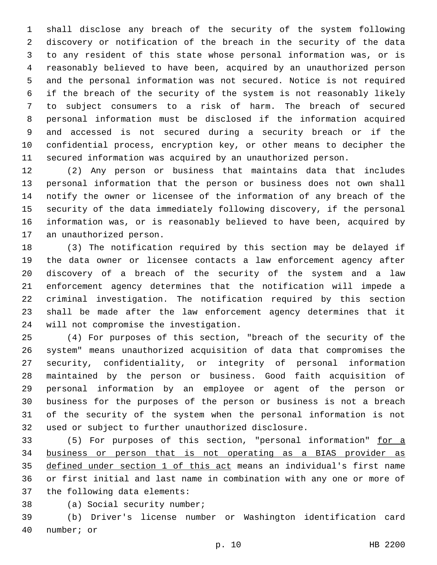shall disclose any breach of the security of the system following discovery or notification of the breach in the security of the data to any resident of this state whose personal information was, or is reasonably believed to have been, acquired by an unauthorized person and the personal information was not secured. Notice is not required if the breach of the security of the system is not reasonably likely to subject consumers to a risk of harm. The breach of secured personal information must be disclosed if the information acquired and accessed is not secured during a security breach or if the confidential process, encryption key, or other means to decipher the secured information was acquired by an unauthorized person.

 (2) Any person or business that maintains data that includes personal information that the person or business does not own shall notify the owner or licensee of the information of any breach of the security of the data immediately following discovery, if the personal information was, or is reasonably believed to have been, acquired by 17 an unauthorized person.

 (3) The notification required by this section may be delayed if the data owner or licensee contacts a law enforcement agency after discovery of a breach of the security of the system and a law enforcement agency determines that the notification will impede a criminal investigation. The notification required by this section shall be made after the law enforcement agency determines that it 24 will not compromise the investigation.

 (4) For purposes of this section, "breach of the security of the system" means unauthorized acquisition of data that compromises the security, confidentiality, or integrity of personal information maintained by the person or business. Good faith acquisition of personal information by an employee or agent of the person or business for the purposes of the person or business is not a breach of the security of the system when the personal information is not used or subject to further unauthorized disclosure.

 (5) For purposes of this section, "personal information" for a business or person that is not operating as a BIAS provider as defined under section 1 of this act means an individual's first name or first initial and last name in combination with any one or more of 37 the following data elements:

38 (a) Social security number;

 (b) Driver's license number or Washington identification card 40 number; or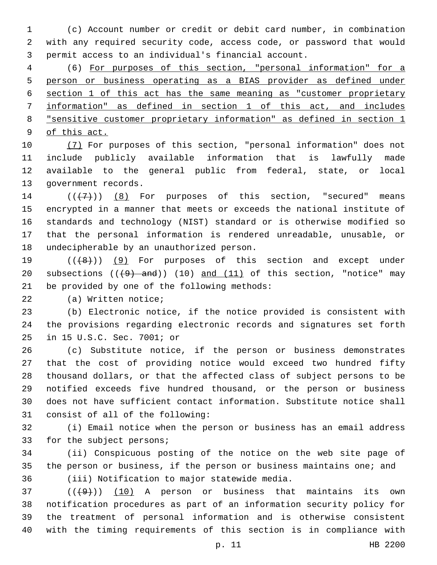(c) Account number or credit or debit card number, in combination with any required security code, access code, or password that would permit access to an individual's financial account.

 (6) For purposes of this section, "personal information" for a person or business operating as a BIAS provider as defined under section 1 of this act has the same meaning as "customer proprietary information" as defined in section 1 of this act, and includes "sensitive customer proprietary information" as defined in section 1 of this act.

 (7) For purposes of this section, "personal information" does not include publicly available information that is lawfully made available to the general public from federal, state, or local 13 government records.

 $((+7+))$   $(8)$  For purposes of this section, "secured" means encrypted in a manner that meets or exceeds the national institute of standards and technology (NIST) standard or is otherwise modified so that the personal information is rendered unreadable, unusable, or 18 undecipherable by an unauthorized person.

19  $((48))$  (9) For purposes of this section and except under 20 subsections  $((4)$  and)) (10) and (11) of this section, "notice" may 21 be provided by one of the following methods:

22 (a) Written notice;

 (b) Electronic notice, if the notice provided is consistent with the provisions regarding electronic records and signatures set forth 25 in 15 U.S.C. Sec. 7001; or

 (c) Substitute notice, if the person or business demonstrates that the cost of providing notice would exceed two hundred fifty thousand dollars, or that the affected class of subject persons to be notified exceeds five hundred thousand, or the person or business does not have sufficient contact information. Substitute notice shall 31 consist of all of the following:

 (i) Email notice when the person or business has an email address 33 for the subject persons;

 (ii) Conspicuous posting of the notice on the web site page of the person or business, if the person or business maintains one; and 36 (iii) Notification to major statewide media.

 ( $(\overline{+9})$ ) (10) A person or business that maintains its own notification procedures as part of an information security policy for the treatment of personal information and is otherwise consistent with the timing requirements of this section is in compliance with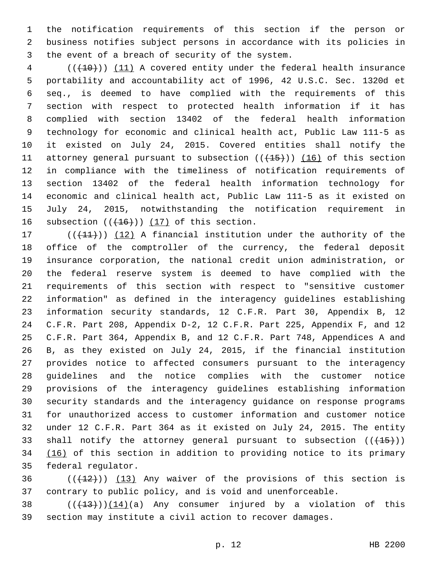the notification requirements of this section if the person or business notifies subject persons in accordance with its policies in 3 the event of a breach of security of the system.

4 (( $(10)$ )) (11) A covered entity under the federal health insurance portability and accountability act of 1996, 42 U.S.C. Sec. 1320d et seq., is deemed to have complied with the requirements of this section with respect to protected health information if it has complied with section 13402 of the federal health information technology for economic and clinical health act, Public Law 111-5 as it existed on July 24, 2015. Covered entities shall notify the 11 attorney general pursuant to subsection  $((+15))$   $(16)$  of this section in compliance with the timeliness of notification requirements of section 13402 of the federal health information technology for economic and clinical health act, Public Law 111-5 as it existed on July 24, 2015, notwithstanding the notification requirement in 16 subsection  $((+16))$   $(17)$  of this section.

 $((+11))$   $(12)$  A financial institution under the authority of the office of the comptroller of the currency, the federal deposit insurance corporation, the national credit union administration, or the federal reserve system is deemed to have complied with the requirements of this section with respect to "sensitive customer information" as defined in the interagency guidelines establishing information security standards, 12 C.F.R. Part 30, Appendix B, 12 C.F.R. Part 208, Appendix D-2, 12 C.F.R. Part 225, Appendix F, and 12 C.F.R. Part 364, Appendix B, and 12 C.F.R. Part 748, Appendices A and B, as they existed on July 24, 2015, if the financial institution provides notice to affected consumers pursuant to the interagency guidelines and the notice complies with the customer notice provisions of the interagency guidelines establishing information security standards and the interagency guidance on response programs for unauthorized access to customer information and customer notice under 12 C.F.R. Part 364 as it existed on July 24, 2015. The entity 33 shall notify the attorney general pursuant to subsection  $((+15))$ 34 (16) of this section in addition to providing notice to its primary 35 federal regulator.

 (( $(12)$ )) (13) Any waiver of the provisions of this section is contrary to public policy, and is void and unenforceable.

38  $((+13)) (14)$ (a) Any consumer injured by a violation of this section may institute a civil action to recover damages.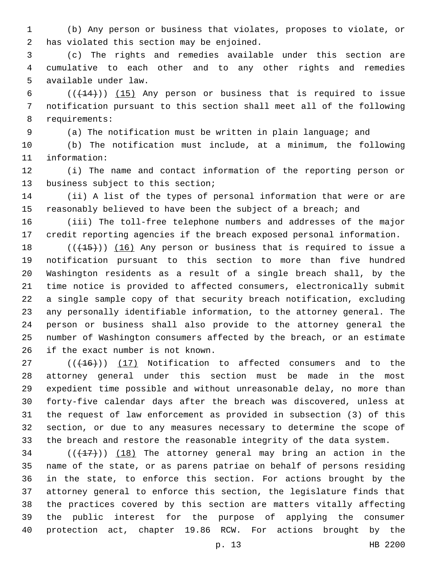(b) Any person or business that violates, proposes to violate, or 2 has violated this section may be enjoined.

 (c) The rights and remedies available under this section are cumulative to each other and to any other rights and remedies 5 available under law.

6  $((+14))$   $(15)$  Any person or business that is required to issue notification pursuant to this section shall meet all of the following 8 requirements:

(a) The notification must be written in plain language; and

 (b) The notification must include, at a minimum, the following 11 information:

 (i) The name and contact information of the reporting person or 13 business subject to this section;

 (ii) A list of the types of personal information that were or are 15 reasonably believed to have been the subject of a breach; and

 (iii) The toll-free telephone numbers and addresses of the major credit reporting agencies if the breach exposed personal information.

 $((+15))$   $(16)$  Any person or business that is required to issue a notification pursuant to this section to more than five hundred Washington residents as a result of a single breach shall, by the time notice is provided to affected consumers, electronically submit a single sample copy of that security breach notification, excluding any personally identifiable information, to the attorney general. The person or business shall also provide to the attorney general the number of Washington consumers affected by the breach, or an estimate 26 if the exact number is not known.

27 (( $(16)$ )) (17) Notification to affected consumers and to the attorney general under this section must be made in the most expedient time possible and without unreasonable delay, no more than forty-five calendar days after the breach was discovered, unless at the request of law enforcement as provided in subsection (3) of this section, or due to any measures necessary to determine the scope of the breach and restore the reasonable integrity of the data system.

 (( $(17)$ )) (18) The attorney general may bring an action in the name of the state, or as parens patriae on behalf of persons residing in the state, to enforce this section. For actions brought by the attorney general to enforce this section, the legislature finds that the practices covered by this section are matters vitally affecting the public interest for the purpose of applying the consumer protection act, chapter 19.86 RCW. For actions brought by the

p. 13 HB 2200